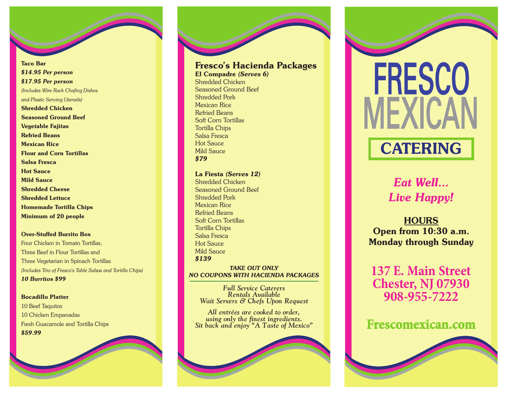Taco Bar *\$14.95 Per person \$17.95 Per person (Includes Wire Rack Chafing Dishes and Plastic Serving Utensils)* Shredded Chicken Seasoned Ground Beef Vegetable Fajitas Refried Beans Mexican Rice Flour and Corn Tortillas Salsa Fresca Hot Sauce Mild Sauce Shredded Cheese Shredded Lettuce Homemade Tortilla Chips Minimum of 20 people

Over-Stuffed Burrito Box Four Chicken in Tomato Tortillas, Three Beef in Flour Tortillas and Three Vegetarian in Spinach Tortillas *(Includes Trio of Fresco's Table Salsas and Tortilla Chips) 10 Burritos \$99*

## Bocadillo Platter

10 Beef Taquitos 10 Chicken Empanadas Fresh Guacamole and Tortilla Chips *\$59.99*



Seasoned Ground Beef Shredded Pork Mexican Rice Refried Beans Soft Corn Tortillas Tortilla Chips Salsa Fresca Hot Sauce Mild Sauce *\$79*

La Fiesta *(Serves 12)* Shredded Chicken Seasoned Ground Beef Shredded Pork Mexican Rice Refried Beans Soft Corn Tortillas Tortilla Chips Salsa Fresca Hot Sauce Mild Sauce *\$139 TAKE OUT ONLY*

*Full Service Caterers NO COUPONS WITH HACIENDA PACKAGES*

*R e n t a l s A va i l a b l e Wait Servers & Chefs Upon Request* 

All entrées are cooked to order, using only the finest ingredients. Sit back and enjoy "A Taste of Mexico"





## **CATERING**

*Eat Well... Live Happy!*

**HOURS** Op en fr om 10:30 a.m. Monday through Sunday

137 E. Main Street **C h e s t e r, NJ 07930 908-955-7222**

## Frescomexican.com